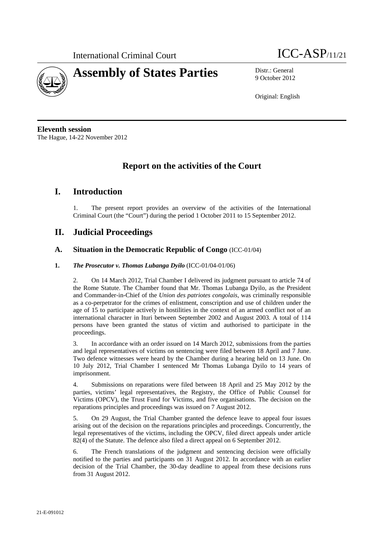



9 October 2012

Original: English

**Eleventh session**  The Hague, 14-22 November 2012

# **Report on the activities of the Court**

# **I. Introduction**

1. The present report provides an overview of the activities of the International Criminal Court (the "Court") during the period 1 October 2011 to 15 September 2012.

# **II. Judicial Proceedings**

# **A. Situation in the Democratic Republic of Congo** (ICC-01/04)

## **1.** *The Prosecutor v. Thomas Lubanga Dyilo* (ICC-01/04-01/06)

2. On 14 March 2012, Trial Chamber I delivered its judgment pursuant to article 74 of the Rome Statute. The Chamber found that Mr. Thomas Lubanga Dyilo, as the President and Commander-in-Chief of the *Union des patriotes congolais*, was criminally responsible as a co-perpetrator for the crimes of enlistment, conscription and use of children under the age of 15 to participate actively in hostilities in the context of an armed conflict not of an international character in Ituri between September 2002 and August 2003. A total of 114 persons have been granted the status of victim and authorised to participate in the proceedings.

3. In accordance with an order issued on 14 March 2012, submissions from the parties and legal representatives of victims on sentencing were filed between 18 April and 7 June. Two defence witnesses were heard by the Chamber during a hearing held on 13 June. On 10 July 2012, Trial Chamber I sentenced Mr Thomas Lubanga Dyilo to 14 years of imprisonment.

4. Submissions on reparations were filed between 18 April and 25 May 2012 by the parties, victims' legal representatives, the Registry, the Office of Public Counsel for Victims (OPCV), the Trust Fund for Victims, and five organisations. The decision on the reparations principles and proceedings was issued on 7 August 2012.

5. On 29 August, the Trial Chamber granted the defence leave to appeal four issues arising out of the decision on the reparations principles and proceedings. Concurrently, the legal representatives of the victims, including the OPCV, filed direct appeals under article 82(4) of the Statute. The defence also filed a direct appeal on 6 September 2012.

6. The French translations of the judgment and sentencing decision were officially notified to the parties and participants on 31 August 2012. In accordance with an earlier decision of the Trial Chamber, the 30-day deadline to appeal from these decisions runs from 31 August 2012.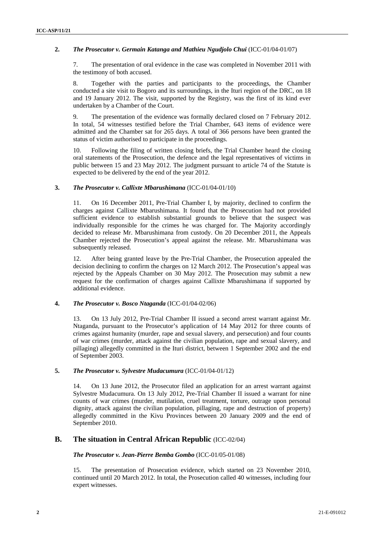## **2.** *The Prosecutor v. Germain Katanga and Mathieu Ngudjolo Chui* (ICC-01/04-01/07)

7. The presentation of oral evidence in the case was completed in November 2011 with the testimony of both accused.

8. Together with the parties and participants to the proceedings, the Chamber conducted a site visit to Bogoro and its surroundings, in the Ituri region of the DRC, on 18 and 19 January 2012. The visit, supported by the Registry, was the first of its kind ever undertaken by a Chamber of the Court.

9. The presentation of the evidence was formally declared closed on 7 February 2012. In total, 54 witnesses testified before the Trial Chamber, 643 items of evidence were admitted and the Chamber sat for 265 days. A total of 366 persons have been granted the status of victim authorised to participate in the proceedings.

10. Following the filing of written closing briefs, the Trial Chamber heard the closing oral statements of the Prosecution, the defence and the legal representatives of victims in public between 15 and 23 May 2012. The judgment pursuant to article 74 of the Statute is expected to be delivered by the end of the year 2012.

## **3.** *The Prosecutor v. Callixte Mbarushimana* (ICC-01/04-01/10)

11. On 16 December 2011, Pre-Trial Chamber I, by majority, declined to confirm the charges against Callixte Mbarushimana. It found that the Prosecution had not provided sufficient evidence to establish substantial grounds to believe that the suspect was individually responsible for the crimes he was charged for. The Majority accordingly decided to release Mr. Mbarushimana from custody. On 20 December 2011, the Appeals Chamber rejected the Prosecution's appeal against the release. Mr. Mbarushimana was subsequently released.

12. After being granted leave by the Pre-Trial Chamber, the Prosecution appealed the decision declining to confirm the charges on 12 March 2012. The Prosecution's appeal was rejected by the Appeals Chamber on 30 May 2012. The Prosecution may submit a new request for the confirmation of charges against Callixte Mbarushimana if supported by additional evidence.

#### **4.** *The Prosecutor v. Bosco Ntaganda* (ICC-01/04-02/06)

13. On 13 July 2012, Pre-Trial Chamber II issued a second arrest warrant against Mr. Ntaganda, pursuant to the Prosecutor's application of 14 May 2012 for three counts of crimes against humanity (murder, rape and sexual slavery, and persecution) and four counts of war crimes (murder, attack against the civilian population, rape and sexual slavery, and pillaging) allegedly committed in the Ituri district, between 1 September 2002 and the end of September 2003.

## **5.** *The Prosecutor v. Sylvestre Mudacumura* (ICC-01/04-01/12)

14. On 13 June 2012, the Prosecutor filed an application for an arrest warrant against Sylvestre Mudacumura. On 13 July 2012, Pre-Trial Chamber II issued a warrant for nine counts of war crimes (murder, mutilation, cruel treatment, torture, outrage upon personal dignity, attack against the civilian population, pillaging, rape and destruction of property) allegedly committed in the Kivu Provinces between 20 January 2009 and the end of September 2010.

# **B. The situation in Central African Republic** (ICC-02/04)

#### *The Prosecutor v. Jean-Pierre Bemba Gombo* (ICC-01/05-01/08)

15. The presentation of Prosecution evidence, which started on 23 November 2010, continued until 20 March 2012. In total, the Prosecution called 40 witnesses, including four expert witnesses.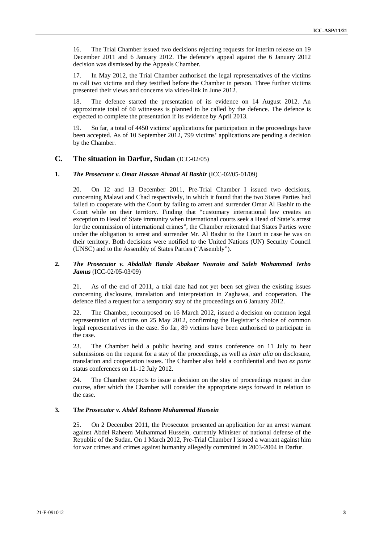16. The Trial Chamber issued two decisions rejecting requests for interim release on 19 December 2011 and 6 January 2012. The defence's appeal against the 6 January 2012 decision was dismissed by the Appeals Chamber.

17. In May 2012, the Trial Chamber authorised the legal representatives of the victims to call two victims and they testified before the Chamber in person. Three further victims presented their views and concerns via video-link in June 2012.

18. The defence started the presentation of its evidence on 14 August 2012. An approximate total of 60 witnesses is planned to be called by the defence. The defence is expected to complete the presentation if its evidence by April 2013.

19. So far, a total of 4450 victims' applications for participation in the proceedings have been accepted. As of 10 September 2012, 799 victims' applications are pending a decision by the Chamber.

# **C. The situation in Darfur, Sudan** (ICC-02/05)

## **1.** *The Prosecutor v. Omar Hassan Ahmad Al Bashir* (ICC-02/05-01/09)

20. On 12 and 13 December 2011, Pre-Trial Chamber I issued two decisions, concerning Malawi and Chad respectively, in which it found that the two States Parties had failed to cooperate with the Court by failing to arrest and surrender Omar Al Bashir to the Court while on their territory. Finding that "customary international law creates an exception to Head of State immunity when international courts seek a Head of State's arrest for the commission of international crimes", the Chamber reiterated that States Parties were under the obligation to arrest and surrender Mr. Al Bashir to the Court in case he was on their territory. Both decisions were notified to the United Nations (UN) Security Council (UNSC) and to the Assembly of States Parties ("Assembly").

## **2.** *The Prosecutor v. Abdallah Banda Abakaer Nourain and Saleh Mohammed Jerbo Jamus* (ICC-02/05-03/09)

21. As of the end of 2011, a trial date had not yet been set given the existing issues concerning disclosure, translation and interpretation in Zaghawa, and cooperation. The defence filed a request for a temporary stay of the proceedings on 6 January 2012.

22. The Chamber, recomposed on 16 March 2012, issued a decision on common legal representation of victims on 25 May 2012, confirming the Registrar's choice of common legal representatives in the case. So far, 89 victims have been authorised to participate in the case.

23. The Chamber held a public hearing and status conference on 11 July to hear submissions on the request for a stay of the proceedings, as well as *inter alia* on disclosure, translation and cooperation issues. The Chamber also held a confidential and two *ex parte* status conferences on 11-12 July 2012.

24. The Chamber expects to issue a decision on the stay of proceedings request in due course, after which the Chamber will consider the appropriate steps forward in relation to the case.

#### **3. T***he Prosecutor v. Abdel Raheem Muhammad Hussein*

25. On 2 December 2011, the Prosecutor presented an application for an arrest warrant against Abdel Raheem Muhammad Hussein, currently Minister of national defense of the Republic of the Sudan. On 1 March 2012, Pre-Trial Chamber I issued a warrant against him for war crimes and crimes against humanity allegedly committed in 2003-2004 in Darfur.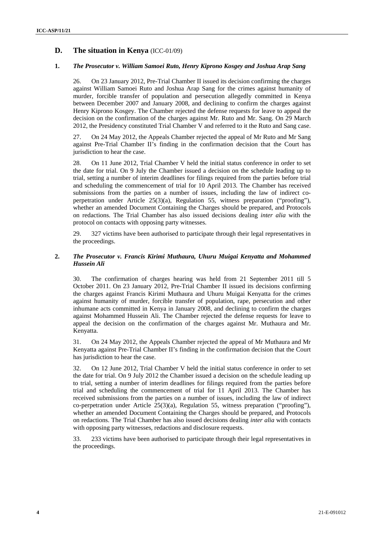# **D. The situation in Kenya** (ICC-01/09)

## **1.** *The Prosecutor v. William Samoei Ruto, Henry Kiprono Kosgey and Joshua Arap Sang*

26. On 23 January 2012, Pre-Trial Chamber II issued its decision confirming the charges against William Samoei Ruto and Joshua Arap Sang for the crimes against humanity of murder, forcible transfer of population and persecution allegedly committed in Kenya between December 2007 and January 2008, and declining to confirm the charges against Henry Kiprono Kosgey. The Chamber rejected the defense requests for leave to appeal the decision on the confirmation of the charges against Mr. Ruto and Mr. Sang. On 29 March 2012, the Presidency constituted Trial Chamber V and referred to it the Ruto and Sang case.

27. On 24 May 2012, the Appeals Chamber rejected the appeal of Mr Ruto and Mr Sang against Pre-Trial Chamber II's finding in the confirmation decision that the Court has jurisdiction to hear the case.

28. On 11 June 2012, Trial Chamber V held the initial status conference in order to set the date for trial. On 9 July the Chamber issued a decision on the schedule leading up to trial, setting a number of interim deadlines for filings required from the parties before trial and scheduling the commencement of trial for 10 April 2013. The Chamber has received submissions from the parties on a number of issues, including the law of indirect coperpetration under Article 25(3)(a), Regulation 55, witness preparation ("proofing"), whether an amended Document Containing the Charges should be prepared, and Protocols on redactions. The Trial Chamber has also issued decisions dealing *inter alia* with the protocol on contacts with opposing party witnesses.

29. 327 victims have been authorised to participate through their legal representatives in the proceedings.

## **2.** *The Prosecutor v. Francis Kirimi Muthaura, Uhuru Muigai Kenyatta and Mohammed Hussein Ali*

30. The confirmation of charges hearing was held from 21 September 2011 till 5 October 2011. On 23 January 2012, Pre-Trial Chamber II issued its decisions confirming the charges against Francis Kirimi Muthaura and Uhuru Muigai Kenyatta for the crimes against humanity of murder, forcible transfer of population, rape, persecution and other inhumane acts committed in Kenya in January 2008, and declining to confirm the charges against Mohammed Hussein Ali. The Chamber rejected the defense requests for leave to appeal the decision on the confirmation of the charges against Mr. Muthaura and Mr. Kenyatta.

31. On 24 May 2012, the Appeals Chamber rejected the appeal of Mr Muthaura and Mr Kenyatta against Pre-Trial Chamber II's finding in the confirmation decision that the Court has jurisdiction to hear the case.

32. On 12 June 2012, Trial Chamber V held the initial status conference in order to set the date for trial. On 9 July 2012 the Chamber issued a decision on the schedule leading up to trial, setting a number of interim deadlines for filings required from the parties before trial and scheduling the commencement of trial for 11 April 2013. The Chamber has received submissions from the parties on a number of issues, including the law of indirect co-perpetration under Article  $25(3)(a)$ , Regulation 55, witness preparation ("proofing"), whether an amended Document Containing the Charges should be prepared, and Protocols on redactions. The Trial Chamber has also issued decisions dealing *inter alia* with contacts with opposing party witnesses, redactions and disclosure requests.

33. 233 victims have been authorised to participate through their legal representatives in the proceedings.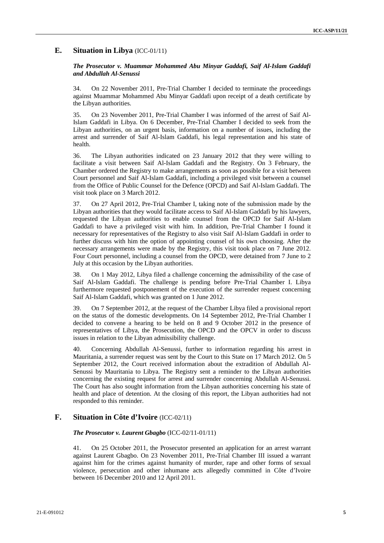## **E. Situation in Libya** (ICC-01/11)

## *The Prosecutor v. Muammar Mohammed Abu Minyar Gaddafi, Saif Al-Islam Gaddafi and Abdullah Al-Senussi*

34. On 22 November 2011, Pre-Trial Chamber I decided to terminate the proceedings against Muammar Mohammed Abu Minyar Gaddafi upon receipt of a death certificate by the Libyan authorities.

35. On 23 November 2011, Pre-Trial Chamber I was informed of the arrest of Saif Al-Islam Gaddafi in Libya. On 6 December, Pre-Trial Chamber I decided to seek from the Libyan authorities, on an urgent basis, information on a number of issues, including the arrest and surrender of Saif Al-Islam Gaddafi, his legal representation and his state of health.

36. The Libyan authorities indicated on 23 January 2012 that they were willing to facilitate a visit between Saif Al-Islam Gaddafi and the Registry. On 3 February, the Chamber ordered the Registry to make arrangements as soon as possible for a visit between Court personnel and Saif Al-Islam Gaddafi, including a privileged visit between a counsel from the Office of Public Counsel for the Defence (OPCD) and Saif Al-Islam Gaddafi. The visit took place on 3 March 2012.

37. On 27 April 2012, Pre-Trial Chamber I, taking note of the submission made by the Libyan authorities that they would facilitate access to Saif Al-Islam Gaddafi by his lawyers, requested the Libyan authorities to enable counsel from the OPCD for Saif Al-Islam Gaddafi to have a privileged visit with him. In addition, Pre-Trial Chamber I found it necessary for representatives of the Registry to also visit Saif Al-Islam Gaddafi in order to further discuss with him the option of appointing counsel of his own choosing. After the necessary arrangements were made by the Registry, this visit took place on 7 June 2012. Four Court personnel, including a counsel from the OPCD, were detained from 7 June to 2 July at this occasion by the Libyan authorities.

38. On 1 May 2012, Libya filed a challenge concerning the admissibility of the case of Saif Al-Islam Gaddafi. The challenge is pending before Pre-Trial Chamber I. Libya furthermore requested postponement of the execution of the surrender request concerning Saif Al-Islam Gaddafi, which was granted on 1 June 2012.

39. On 7 September 2012, at the request of the Chamber Libya filed a provisional report on the status of the domestic developments. On 14 September 2012, Pre-Trial Chamber I decided to convene a hearing to be held on 8 and 9 October 2012 in the presence of representatives of Libya, the Prosecution, the OPCD and the OPCV in order to discuss issues in relation to the Libyan admissibility challenge.

40. Concerning Abdullah Al-Senussi, further to information regarding his arrest in Mauritania, a surrender request was sent by the Court to this State on 17 March 2012. On 5 September 2012, the Court received information about the extradition of Abdullah Al-Senussi by Mauritania to Libya. The Registry sent a reminder to the Libyan authorities concerning the existing request for arrest and surrender concerning Abdullah Al-Senussi. The Court has also sought information from the Libyan authorities concerning his state of health and place of detention. At the closing of this report, the Libyan authorities had not responded to this reminder.

# **F. Situation in Côte d'Ivoire** (ICC-02/11)

#### *The Prosecutor v. Laurent Gbagbo* (ICC-02/11-01/11)

41. On 25 October 2011, the Prosecutor presented an application for an arrest warrant against Laurent Gbagbo. On 23 November 2011, Pre-Trial Chamber III issued a warrant against him for the crimes against humanity of murder, rape and other forms of sexual violence, persecution and other inhumane acts allegedly committed in Côte d'Ivoire between 16 December 2010 and 12 April 2011.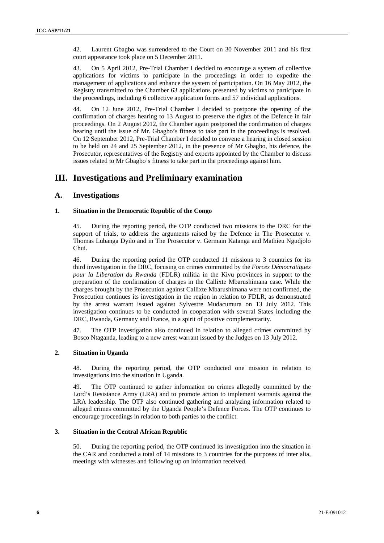42. Laurent Gbagbo was surrendered to the Court on 30 November 2011 and his first court appearance took place on 5 December 2011.

43. On 5 April 2012, Pre-Trial Chamber I decided to encourage a system of collective applications for victims to participate in the proceedings in order to expedite the management of applications and enhance the system of participation. On 16 May 2012, the Registry transmitted to the Chamber 63 applications presented by victims to participate in the proceedings, including 6 collective application forms and 57 individual applications.

44. On 12 June 2012, Pre-Trial Chamber I decided to postpone the opening of the confirmation of charges hearing to 13 August to preserve the rights of the Defence in fair proceedings. On 2 August 2012, the Chamber again postponed the confirmation of charges hearing until the issue of Mr. Gbagbo's fitness to take part in the proceedings is resolved. On 12 September 2012, Pre-Trial Chamber I decided to convene a hearing in closed session to be held on 24 and 25 September 2012, in the presence of Mr Gbagbo, his defence, the Prosecutor, representatives of the Registry and experts appointed by the Chamber to discuss issues related to Mr Gbagbo's fitness to take part in the proceedings against him.

# **III. Investigations and Preliminary examination**

# **A. Investigations**

## **1. Situation in the Democratic Republic of the Congo**

45. During the reporting period, the OTP conducted two missions to the DRC for the support of trials, to address the arguments raised by the Defence in The Prosecutor v. Thomas Lubanga Dyilo and in The Prosecutor v. Germain Katanga and Mathieu Ngudjolo Chui.

46. During the reporting period the OTP conducted 11 missions to 3 countries for its third investigation in the DRC, focusing on crimes committed by the *Forces Démocratiques pour la Liberation du Rwanda* (FDLR) militia in the Kivu provinces in support to the preparation of the confirmation of charges in the Callixte Mbarushimana case. While the charges brought by the Prosecution against Callixte Mbarushimana were not confirmed, the Prosecution continues its investigation in the region in relation to FDLR, as demonstrated by the arrest warrant issued against Sylvestre Mudacumura on 13 July 2012. This investigation continues to be conducted in cooperation with several States including the DRC, Rwanda, Germany and France, in a spirit of positive complementarity.

47. The OTP investigation also continued in relation to alleged crimes committed by Bosco Ntaganda, leading to a new arrest warrant issued by the Judges on 13 July 2012.

## **2. Situation in Uganda**

48. During the reporting period, the OTP conducted one mission in relation to investigations into the situation in Uganda.

49. The OTP continued to gather information on crimes allegedly committed by the Lord's Resistance Army (LRA) and to promote action to implement warrants against the LRA leadership. The OTP also continued gathering and analyzing information related to alleged crimes committed by the Uganda People's Defence Forces. The OTP continues to encourage proceedings in relation to both parties to the conflict.

## **3. Situation in the Central African Republic**

50. During the reporting period, the OTP continued its investigation into the situation in the CAR and conducted a total of 14 missions to 3 countries for the purposes of inter alia, meetings with witnesses and following up on information received.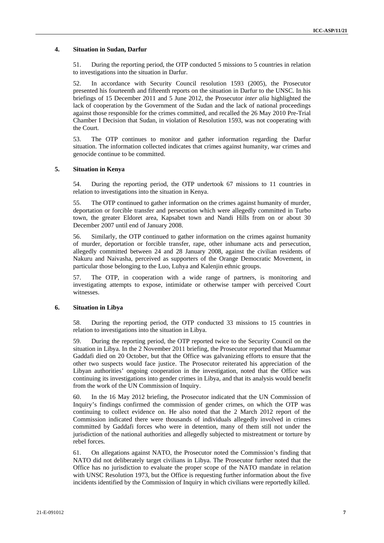## **4. Situation in Sudan, Darfur**

51. During the reporting period, the OTP conducted 5 missions to 5 countries in relation to investigations into the situation in Darfur.

52. In accordance with Security Council resolution 1593 (2005), the Prosecutor presented his fourteenth and fifteenth reports on the situation in Darfur to the UNSC. In his briefings of 15 December 2011 and 5 June 2012, the Prosecutor *inter alia* highlighted the lack of cooperation by the Government of the Sudan and the lack of national proceedings against those responsible for the crimes committed, and recalled the 26 May 2010 Pre-Trial Chamber I Decision that Sudan, in violation of Resolution 1593, was not cooperating with the Court.

53. The OTP continues to monitor and gather information regarding the Darfur situation. The information collected indicates that crimes against humanity, war crimes and genocide continue to be committed.

#### **5. Situation in Kenya**

54. During the reporting period, the OTP undertook 67 missions to 11 countries in relation to investigations into the situation in Kenya.

55. The OTP continued to gather information on the crimes against humanity of murder, deportation or forcible transfer and persecution which were allegedly committed in Turbo town, the greater Eldoret area, Kapsabet town and Nandi Hills from on or about 30 December 2007 until end of January 2008.

56. Similarly, the OTP continued to gather information on the crimes against humanity of murder, deportation or forcible transfer, rape, other inhumane acts and persecution, allegedly committed between 24 and 28 January 2008, against the civilian residents of Nakuru and Naivasha, perceived as supporters of the Orange Democratic Movement, in particular those belonging to the Luo, Luhya and Kalenjin ethnic groups.

57. The OTP, in cooperation with a wide range of partners, is monitoring and investigating attempts to expose, intimidate or otherwise tamper with perceived Court witnesses.

#### **6. Situation in Libya**

58. During the reporting period, the OTP conducted 33 missions to 15 countries in relation to investigations into the situation in Libya.

59. During the reporting period, the OTP reported twice to the Security Council on the situation in Libya. In the 2 November 2011 briefing, the Prosecutor reported that Muammar Gaddafi died on 20 October, but that the Office was galvanizing efforts to ensure that the other two suspects would face justice. The Prosecutor reiterated his appreciation of the Libyan authorities' ongoing cooperation in the investigation, noted that the Office was continuing its investigations into gender crimes in Libya, and that its analysis would benefit from the work of the UN Commission of Inquiry.

60. In the 16 May 2012 briefing, the Prosecutor indicated that the UN Commission of Inquiry's findings confirmed the commission of gender crimes, on which the OTP was continuing to collect evidence on. He also noted that the 2 March 2012 report of the Commission indicated there were thousands of individuals allegedly involved in crimes committed by Gaddafi forces who were in detention, many of them still not under the jurisdiction of the national authorities and allegedly subjected to mistreatment or torture by rebel forces.

61. On allegations against NATO, the Prosecutor noted the Commission's finding that NATO did not deliberately target civilians in Libya. The Prosecutor further noted that the Office has no jurisdiction to evaluate the proper scope of the NATO mandate in relation with UNSC Resolution 1973, but the Office is requesting further information about the five incidents identified by the Commission of Inquiry in which civilians were reportedly killed.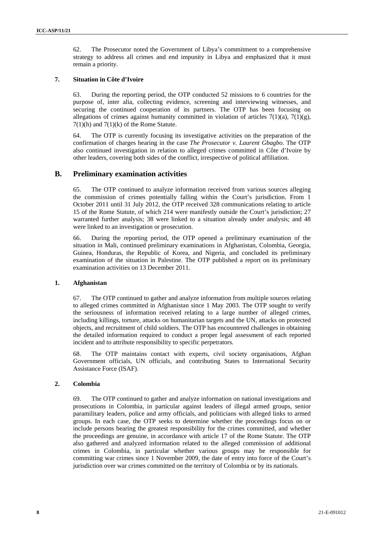62. The Prosecutor noted the Government of Libya's commitment to a comprehensive strategy to address all crimes and end impunity in Libya and emphasized that it must remain a priority.

## **7. Situation in Côte d'Ivoire**

63. During the reporting period, the OTP conducted 52 missions to 6 countries for the purpose of, inter alia, collecting evidence, screening and interviewing witnesses, and securing the continued cooperation of its partners. The OTP has been focusing on allegations of crimes against humanity committed in violation of articles  $7(1)(a)$ ,  $7(1)(g)$ ,  $7(1)(h)$  and  $7(1)(k)$  of the Rome Statute.

64. The OTP is currently focusing its investigative activities on the preparation of the confirmation of charges hearing in the case *The Prosecutor v. Laurent Gbagbo*. The OTP also continued investigation in relation to alleged crimes committed in Côte d'Ivoire by other leaders, covering both sides of the conflict, irrespective of political affiliation.

## **B. Preliminary examination activities**

65. The OTP continued to analyze information received from various sources alleging the commission of crimes potentially falling within the Court's jurisdiction. From 1 October 2011 until 31 July 2012, the OTP received 328 communications relating to article 15 of the Rome Statute, of which 214 were manifestly outside the Court's jurisdiction; 27 warranted further analysis; 38 were linked to a situation already under analysis; and 48 were linked to an investigation or prosecution.

66. During the reporting period, the OTP opened a preliminary examination of the situation in Mali, continued preliminary examinations in Afghanistan, Colombia, Georgia, Guinea, Honduras, the Republic of Korea, and Nigeria, and concluded its preliminary examination of the situation in Palestine. The OTP published a report on its preliminary examination activities on 13 December 2011.

#### **1. Afghanistan**

67. The OTP continued to gather and analyze information from multiple sources relating to alleged crimes committed in Afghanistan since 1 May 2003. The OTP sought to verify the seriousness of information received relating to a large number of alleged crimes, including killings, torture, attacks on humanitarian targets and the UN, attacks on protected objects, and recruitment of child soldiers. The OTP has encountered challenges in obtaining the detailed information required to conduct a proper legal assessment of each reported incident and to attribute responsibility to specific perpetrators.

68. The OTP maintains contact with experts, civil society organisations, Afghan Government officials, UN officials, and contributing States to International Security Assistance Force (ISAF).

#### **2. Colombia**

69. The OTP continued to gather and analyze information on national investigations and prosecutions in Colombia, in particular against leaders of illegal armed groups, senior paramilitary leaders, police and army officials, and politicians with alleged links to armed groups. In each case, the OTP seeks to determine whether the proceedings focus on or include persons bearing the greatest responsibility for the crimes committed, and whether the proceedings are genuine, in accordance with article 17 of the Rome Statute. The OTP also gathered and analyzed information related to the alleged commission of additional crimes in Colombia, in particular whether various groups may be responsible for committing war crimes since 1 November 2009, the date of entry into force of the Court's jurisdiction over war crimes committed on the territory of Colombia or by its nationals.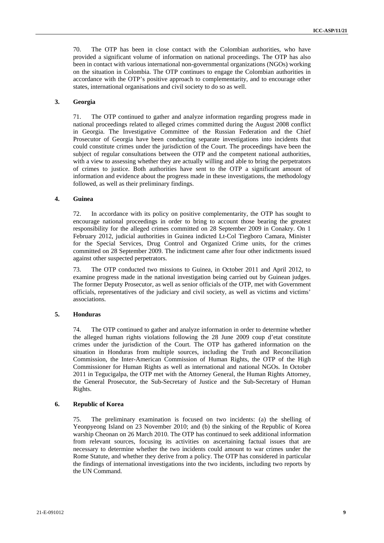70. The OTP has been in close contact with the Colombian authorities, who have provided a significant volume of information on national proceedings. The OTP has also been in contact with various international non-governmental organizations (NGOs) working on the situation in Colombia. The OTP continues to engage the Colombian authorities in accordance with the OTP's positive approach to complementarity, and to encourage other states, international organisations and civil society to do so as well.

## **3. Georgia**

71. The OTP continued to gather and analyze information regarding progress made in national proceedings related to alleged crimes committed during the August 2008 conflict in Georgia. The Investigative Committee of the Russian Federation and the Chief Prosecutor of Georgia have been conducting separate investigations into incidents that could constitute crimes under the jurisdiction of the Court. The proceedings have been the subject of regular consultations between the OTP and the competent national authorities, with a view to assessing whether they are actually willing and able to bring the perpetrators of crimes to justice. Both authorities have sent to the OTP a significant amount of information and evidence about the progress made in these investigations, the methodology followed, as well as their preliminary findings.

#### **4. Guinea**

72. In accordance with its policy on positive complementarity, the OTP has sought to encourage national proceedings in order to bring to account those bearing the greatest responsibility for the alleged crimes committed on 28 September 2009 in Conakry. On 1 February 2012, judicial authorities in Guinea indicted Lt-Col Tiegboro Camara, Minister for the Special Services, Drug Control and Organized Crime units, for the crimes committed on 28 September 2009. The indictment came after four other indictments issued against other suspected perpetrators.

73. The OTP conducted two missions to Guinea, in October 2011 and April 2012, to examine progress made in the national investigation being carried out by Guinean judges. The former Deputy Prosecutor, as well as senior officials of the OTP, met with Government officials, representatives of the judiciary and civil society, as well as victims and victims' associations.

## **5. Honduras**

74. The OTP continued to gather and analyze information in order to determine whether the alleged human rights violations following the 28 June 2009 coup d'etat constitute crimes under the jurisdiction of the Court. The OTP has gathered information on the situation in Honduras from multiple sources, including the Truth and Reconciliation Commission, the Inter-American Commission of Human Rights, the OTP of the High Commissioner for Human Rights as well as international and national NGOs. In October 2011 in Tegucigalpa, the OTP met with the Attorney General, the Human Rights Attorney, the General Prosecutor, the Sub-Secretary of Justice and the Sub-Secretary of Human Rights.

#### **6. Republic of Korea**

The preliminary examination is focused on two incidents: (a) the shelling of Yeonpyeong Island on 23 November 2010; and (b) the sinking of the Republic of Korea warship Cheonan on 26 March 2010. The OTP has continued to seek additional information from relevant sources, focusing its activities on ascertaining factual issues that are necessary to determine whether the two incidents could amount to war crimes under the Rome Statute, and whether they derive from a policy. The OTP has considered in particular the findings of international investigations into the two incidents, including two reports by the UN Command.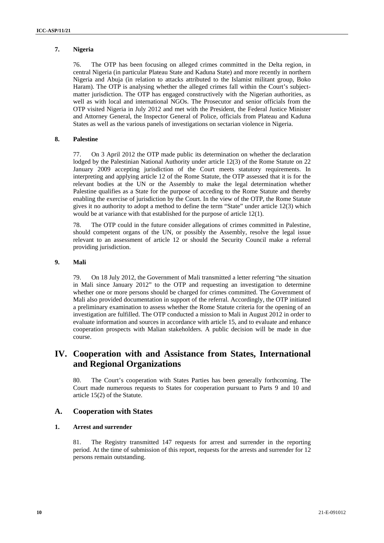## **7. Nigeria**

76. The OTP has been focusing on alleged crimes committed in the Delta region, in central Nigeria (in particular Plateau State and Kaduna State) and more recently in northern Nigeria and Abuja (in relation to attacks attributed to the Islamist militant group, Boko Haram). The OTP is analysing whether the alleged crimes fall within the Court's subjectmatter jurisdiction. The OTP has engaged constructively with the Nigerian authorities, as well as with local and international NGOs. The Prosecutor and senior officials from the OTP visited Nigeria in July 2012 and met with the President, the Federal Justice Minister and Attorney General, the Inspector General of Police, officials from Plateau and Kaduna States as well as the various panels of investigations on sectarian violence in Nigeria.

## **8. Palestine**

77. On 3 April 2012 the OTP made public its determination on whether the declaration lodged by the Palestinian National Authority under article 12(3) of the Rome Statute on 22 January 2009 accepting jurisdiction of the Court meets statutory requirements. In interpreting and applying article 12 of the Rome Statute, the OTP assessed that it is for the relevant bodies at the UN or the Assembly to make the legal determination whether Palestine qualifies as a State for the purpose of acceding to the Rome Statute and thereby enabling the exercise of jurisdiction by the Court. In the view of the OTP, the Rome Statute gives it no authority to adopt a method to define the term "State" under article 12(3) which would be at variance with that established for the purpose of article 12(1).

78. The OTP could in the future consider allegations of crimes committed in Palestine, should competent organs of the UN, or possibly the Assembly, resolve the legal issue relevant to an assessment of article 12 or should the Security Council make a referral providing jurisdiction.

## **9. Mali**

79. On 18 July 2012, the Government of Mali transmitted a letter referring "the situation in Mali since January 2012" to the OTP and requesting an investigation to determine whether one or more persons should be charged for crimes committed. The Government of Mali also provided documentation in support of the referral. Accordingly, the OTP initiated a preliminary examination to assess whether the Rome Statute criteria for the opening of an investigation are fulfilled. The OTP conducted a mission to Mali in August 2012 in order to evaluate information and sources in accordance with article 15, and to evaluate and enhance cooperation prospects with Malian stakeholders. A public decision will be made in due course.

# **IV. Cooperation with and Assistance from States, International and Regional Organizations**

80. The Court's cooperation with States Parties has been generally forthcoming. The Court made numerous requests to States for cooperation pursuant to Parts 9 and 10 and article 15(2) of the Statute.

## **A. Cooperation with States**

#### **1. Arrest and surrender**

81. The Registry transmitted 147 requests for arrest and surrender in the reporting period. At the time of submission of this report, requests for the arrests and surrender for 12 persons remain outstanding.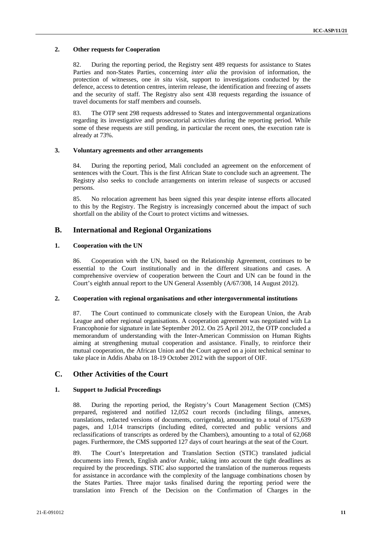## **2. Other requests for Cooperation**

82. During the reporting period, the Registry sent 489 requests for assistance to States Parties and non-States Parties, concerning *inter alia* the provision of information, the protection of witnesses, one *in situ* visit, support to investigations conducted by the defence, access to detention centres, interim release, the identification and freezing of assets and the security of staff. The Registry also sent 438 requests regarding the issuance of travel documents for staff members and counsels.

83. The OTP sent 298 requests addressed to States and intergovernmental organizations regarding its investigative and prosecutorial activities during the reporting period. While some of these requests are still pending, in particular the recent ones, the execution rate is already at 73%.

## **3. Voluntary agreements and other arrangements**

84. During the reporting period, Mali concluded an agreement on the enforcement of sentences with the Court. This is the first African State to conclude such an agreement. The Registry also seeks to conclude arrangements on interim release of suspects or accused persons.

85. No relocation agreement has been signed this year despite intense efforts allocated to this by the Registry. The Registry is increasingly concerned about the impact of such shortfall on the ability of the Court to protect victims and witnesses.

# **B. International and Regional Organizations**

## **1. Cooperation with the UN**

86. Cooperation with the UN, based on the Relationship Agreement, continues to be essential to the Court institutionally and in the different situations and cases. A comprehensive overview of cooperation between the Court and UN can be found in the Court's eighth annual report to the UN General Assembly (A/67/308, 14 August 2012).

#### **2. Cooperation with regional organisations and other intergovernmental institutions**

87. The Court continued to communicate closely with the European Union, the Arab League and other regional organisations. A cooperation agreement was negotiated with La Francophonie for signature in late September 2012. On 25 April 2012, the OTP concluded a memorandum of understanding with the Inter-American Commission on Human Rights aiming at strengthening mutual cooperation and assistance. Finally, to reinforce their mutual cooperation, the African Union and the Court agreed on a joint technical seminar to take place in Addis Ababa on 18-19 October 2012 with the support of OIF.

# **C. Other Activities of the Court**

## **1. Support to Judicial Proceedings**

88. During the reporting period, the Registry's Court Management Section (CMS) prepared, registered and notified 12,052 court records (including filings, annexes, translations, redacted versions of documents, corrigenda), amounting to a total of 175,639 pages, and 1,014 transcripts (including edited, corrected and public versions and reclassifications of transcripts as ordered by the Chambers), amounting to a total of 62,068 pages. Furthermore, the CMS supported 127 days of court hearings at the seat of the Court.

89. The Court's Interpretation and Translation Section (STIC) translated judicial documents into French, English and/or Arabic, taking into account the tight deadlines as required by the proceedings. STIC also supported the translation of the numerous requests for assistance in accordance with the complexity of the language combinations chosen by the States Parties. Three major tasks finalised during the reporting period were the translation into French of the Decision on the Confirmation of Charges in the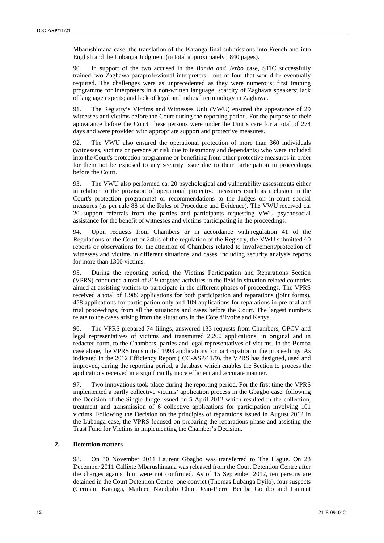Mbarushimana case, the translation of the Katanga final submissions into French and into English and the Lubanga Judgment (in total approximately 1840 pages).

90. In support of the two accused in the *Banda and Jerbo* case, STIC successfully trained two Zaghawa paraprofessional interpreters - out of four that would be eventually required. The challenges were as unprecedented as they were numerous: first training programme for interpreters in a non-written language; scarcity of Zaghawa speakers; lack of language experts; and lack of legal and judicial terminology in Zaghawa.

91. The Registry's Victims and Witnesses Unit (VWU) ensured the appearance of 29 witnesses and victims before the Court during the reporting period. For the purpose of their appearance before the Court, these persons were under the Unit's care for a total of 274 days and were provided with appropriate support and protective measures.

92. The VWU also ensured the operational protection of more than 360 individuals (witnesses, victims or persons at risk due to testimony and dependants) who were included into the Court's protection programme or benefiting from other protective measures in order for them not be exposed to any security issue due to their participation in proceedings before the Court.

93. The VWU also performed ca. 20 psychological and vulnerability assessments either in relation to the provision of operational protective measures (such as inclusion in the Court's protection programme) or recommendations to the Judges on in-court special measures (as per rule 88 of the Rules of Procedure and Evidence). The VWU received ca. 20 support referrals from the parties and participants requesting VWU psychosocial assistance for the benefit of witnesses and victims participating in the proceedings.

94. Upon requests from Chambers or in accordance with regulation 41 of the Regulations of the Court or 24bis of the regulation of the Registry, the VWU submitted 60 reports or observations for the attention of Chambers related to involvement/protection of witnesses and victims in different situations and cases, including security analysis reports for more than 1300 victims.

95. During the reporting period, the Victims Participation and Reparations Section (VPRS) conducted a total of 819 targeted activities in the field in situation related countries aimed at assisting victims to participate in the different phases of proceedings. The VPRS received a total of 1,989 applications for both participation and reparations (joint forms), 458 applications for participation only and 109 applications for reparations in pre-trial and trial proceedings, from all the situations and cases before the Court. The largest numbers relate to the cases arising from the situations in the Côte d'Ivoire and Kenya.

96. The VPRS prepared 74 filings, answered 133 requests from Chambers, OPCV and legal representatives of victims and transmitted 2,200 applications, in original and in redacted form, to the Chambers, parties and legal representatives of victims. In the Bemba case alone, the VPRS transmitted 1993 applications for participation in the proceedings. As indicated in the 2012 Efficiency Report (ICC-ASP/11/9), the VPRS has designed, used and improved, during the reporting period, a database which enables the Section to process the applications received in a significantly more efficient and accurate manner.

97. Two innovations took place during the reporting period. For the first time the VPRS implemented a partly collective victims' application process in the Gbagbo case, following the Decision of the Single Judge issued on 5 April 2012 which resulted in the collection, treatment and transmission of 6 collective applications for participation involving 101 victims. Following the Decision on the principles of reparations issued in August 2012 in the Lubanga case, the VPRS focused on preparing the reparations phase and assisting the Trust Fund for Victims in implementing the Chamber's Decision.

#### **2. Detention matters**

98. On 30 November 2011 Laurent Gbagbo was transferred to The Hague. On 23 December 2011 Callixte Mbarushimana was released from the Court Detention Centre after the charges against him were not confirmed. As of 15 September 2012, ten persons are detained in the Court Detention Centre: one convict (Thomas Lubanga Dyilo), four suspects (Germain Katanga, Mathieu Ngudjolo Chui, Jean-Pierre Bemba Gombo and Laurent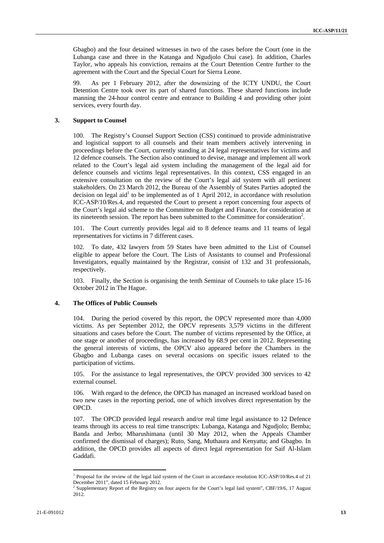Gbagbo) and the four detained witnesses in two of the cases before the Court (one in the Lubanga case and three in the Katanga and Ngudjolo Chui case). In addition, Charles Taylor, who appeals his conviction, remains at the Court Detention Centre further to the agreement with the Court and the Special Court for Sierra Leone.

99. As per 1 February 2012, after the downsizing of the ICTY UNDU, the Court Detention Centre took over its part of shared functions. These shared functions include manning the 24-hour control centre and entrance to Building 4 and providing other joint services, every fourth day.

#### **3. Support to Counsel**

100. The Registry's Counsel Support Section (CSS) continued to provide administrative and logistical support to all counsels and their team members actively intervening in proceedings before the Court, currently standing at 24 legal representatives for victims and 12 defence counsels. The Section also continued to devise, manage and implement all work related to the Court's legal aid system including the management of the legal aid for defence counsels and victims legal representatives. In this context, CSS engaged in an extensive consultation on the review of the Court's legal aid system with all pertinent stakeholders. On 23 March 2012, the Bureau of the Assembly of States Parties adopted the decision on legal aid<sup>1</sup> to be implemented as of 1 April 2012, in accordance with resolution ICC-ASP/10/Res.4, and requested the Court to present a report concerning four aspects of the Court's legal aid scheme to the Committee on Budget and Finance, for consideration at its nineteenth session. The report has been submitted to the Committee for consideration<sup>2</sup>.

101. The Court currently provides legal aid to 8 defence teams and 11 teams of legal representatives for victims in 7 different cases.

102. To date, 432 lawyers from 59 States have been admitted to the List of Counsel eligible to appear before the Court. The Lists of Assistants to counsel and Professional Investigators, equally maintained by the Registrar, consist of 132 and 31 professionals, respectively.

103. Finally, the Section is organising the tenth Seminar of Counsels to take place 15-16 October 2012 in The Hague.

#### **4. The Offices of Public Counsels**

<u> 1989 - Johann Barn, mars eta bainar eta industrial eta bainar eta baina eta baina eta baina eta baina eta ba</u>

104. During the period covered by this report, the OPCV represented more than 4,000 victims. As per September 2012, the OPCV represents 3,579 victims in the different situations and cases before the Court. The number of victims represented by the Office, at one stage or another of proceedings, has increased by 68.9 per cent in 2012. Representing the general interests of victims, the OPCV also appeared before the Chambers in the Gbagbo and Lubanga cases on several occasions on specific issues related to the participation of victims.

105. For the assistance to legal representatives, the OPCV provided 300 services to 42 external counsel.

106. With regard to the defence, the OPCD has managed an increased workload based on two new cases in the reporting period, one of which involves direct representation by the OPCD.

107. The OPCD provided legal research and/or real time legal assistance to 12 Defence teams through its access to real time transcripts: Lubanga, Katanga and Ngudjolo; Bemba; Banda and Jerbo; Mbarushimana (until 30 May 2012, when the Appeals Chamber confirmed the dismissal of charges); Ruto, Sang, Muthaura and Kenyatta; and Gbagbo. In addition, the OPCD provides all aspects of direct legal representation for Saif Al-Islam Gaddafi.

<sup>&</sup>lt;sup>1</sup> Proposal for the review of the legal laid system of the Court in accordance resolution ICC-ASP/10/Res.4 of 21 December 2011", dated 15 February 2012.

Supplementary Report of the Registry on four aspects for the Court's legal laid system", CBF/19/6, 17 August 2012.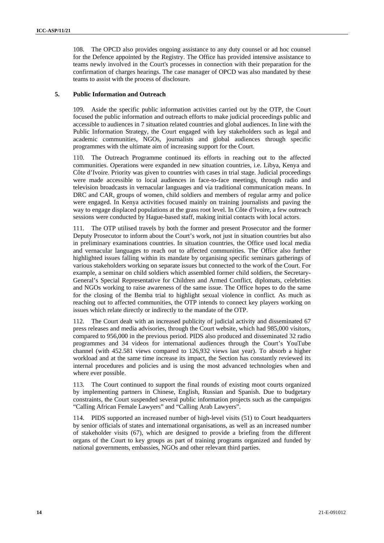108. The OPCD also provides ongoing assistance to any duty counsel or ad hoc counsel for the Defence appointed by the Registry. The Office has provided intensive assistance to teams newly involved in the Court's processes in connection with their preparation for the confirmation of charges hearings. The case manager of OPCD was also mandated by these teams to assist with the process of disclosure.

## **5. Public Information and Outreach**

109. Aside the specific public information activities carried out by the OTP, the Court focused the public information and outreach efforts to make judicial proceedings public and accessible to audiences in 7 situation related countries and global audiences. In line with the Public Information Strategy, the Court engaged with key stakeholders such as legal and academic communities, NGOs, journalists and global audiences through specific programmes with the ultimate aim of increasing support for the Court.

110. The Outreach Programme continued its efforts in reaching out to the affected communities. Operations were expanded in new situation countries, i.e. Libya, Kenya and Côte d'Ivoire. Priority was given to countries with cases in trial stage. Judicial proceedings were made accessible to local audiences in face-to-face meetings, through radio and television broadcasts in vernacular languages and via traditional communication means. In DRC and CAR, groups of women, child soldiers and members of regular army and police were engaged. In Kenya activities focused mainly on training journalists and paving the way to engage displaced populations at the grass root level. In Côte d'Ivoire, a few outreach sessions were conducted by Hague-based staff, making initial contacts with local actors.

111. The OTP utilised travels by both the former and present Prosecutor and the former Deputy Prosecutor to inform about the Court's work, not just in situation countries but also in preliminary examinations countries. In situation countries, the Office used local media and vernacular languages to reach out to affected communities. The Office also further highlighted issues falling within its mandate by organising specific seminars gatherings of various stakeholders working on separate issues but connected to the work of the Court. For example, a seminar on child soldiers which assembled former child soldiers, the Secretary-General's Special Representative for Children and Armed Conflict, diplomats, celebrities and NGOs working to raise awareness of the same issue. The Office hopes to do the same for the closing of the Bemba trial to highlight sexual violence in conflict. As much as reaching out to affected communities, the OTP intends to connect key players working on issues which relate directly or indirectly to the mandate of the OTP.

112. The Court dealt with an increased publicity of judicial activity and disseminated 67 press releases and media advisories, through the Court website, which had 985,000 visitors, compared to 956,000 in the previous period. PIDS also produced and disseminated 32 radio programmes and 34 videos for international audiences through the Court's YouTube channel (with 452.581 views compared to 126,932 views last year). To absorb a higher workload and at the same time increase its impact, the Section has constantly reviewed its internal procedures and policies and is using the most advanced technologies when and where ever possible.

113. The Court continued to support the final rounds of existing moot courts organized by implementing partners in Chinese, English, Russian and Spanish. Due to budgetary constraints, the Court suspended several public information projects such as the campaigns "Calling African Female Lawyers" and "Calling Arab Lawyers".

114. PIDS supported an increased number of high-level visits (51) to Court headquarters by senior officials of states and international organisations, as well as an increased number of stakeholder visits (67), which are designed to provide a briefing from the different organs of the Court to key groups as part of training programs organized and funded by national governments, embassies, NGOs and other relevant third parties.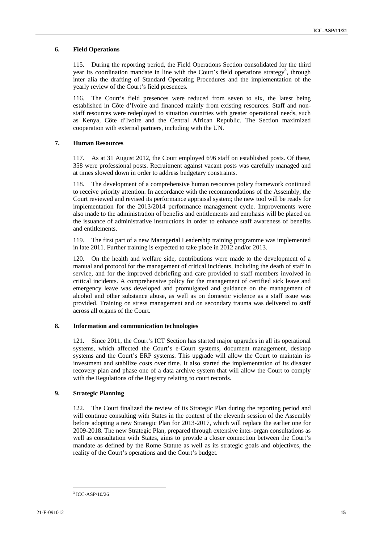## **6. Field Operations**

115. During the reporting period, the Field Operations Section consolidated for the third year its coordination mandate in line with the Court's field operations strategy<sup>3</sup>, through inter alia the drafting of Standard Operating Procedures and the implementation of the yearly review of the Court's field presences.

116. The Court's field presences were reduced from seven to six, the latest being established in Côte d'Ivoire and financed mainly from existing resources. Staff and nonstaff resources were redeployed to situation countries with greater operational needs, such as Kenya, Côte d'Ivoire and the Central African Republic. The Section maximized cooperation with external partners, including with the UN.

#### **7. Human Resources**

117. As at 31 August 2012, the Court employed 696 staff on established posts. Of these, 358 were professional posts. Recruitment against vacant posts was carefully managed and at times slowed down in order to address budgetary constraints.

118. The development of a comprehensive human resources policy framework continued to receive priority attention. In accordance with the recommendations of the Assembly, the Court reviewed and revised its performance appraisal system; the new tool will be ready for implementation for the 2013/2014 performance management cycle. Improvements were also made to the administration of benefits and entitlements and emphasis will be placed on the issuance of administrative instructions in order to enhance staff awareness of benefits and entitlements.

119. The first part of a new Managerial Leadership training programme was implemented in late 2011. Further training is expected to take place in 2012 and/or 2013.

120. On the health and welfare side, contributions were made to the development of a manual and protocol for the management of critical incidents, including the death of staff in service, and for the improved debriefing and care provided to staff members involved in critical incidents. A comprehensive policy for the management of certified sick leave and emergency leave was developed and promulgated and guidance on the management of alcohol and other substance abuse, as well as on domestic violence as a staff issue was provided. Training on stress management and on secondary trauma was delivered to staff across all organs of the Court.

## **8. Information and communication technologies**

121. Since 2011, the Court's ICT Section has started major upgrades in all its operational systems, which affected the Court's e-Court systems, document management, desktop systems and the Court's ERP systems. This upgrade will allow the Court to maintain its investment and stabilize costs over time. It also started the implementation of its disaster recovery plan and phase one of a data archive system that will allow the Court to comply with the Regulations of the Registry relating to court records.

## **9. Strategic Planning**

122. The Court finalized the review of its Strategic Plan during the reporting period and will continue consulting with States in the context of the eleventh session of the Assembly before adopting a new Strategic Plan for 2013-2017, which will replace the earlier one for 2009-2018. The new Strategic Plan, prepared through extensive inter-organ consultations as well as consultation with States, aims to provide a closer connection between the Court's mandate as defined by the Rome Statute as well as its strategic goals and objectives, the reality of the Court's operations and the Court's budget.

<sup>&</sup>lt;u> 1989 - Johann Barn, mars eta bainar eta industrial eta bainar eta baina eta baina eta baina eta baina eta ba</u> 3 ICC-ASP/10/26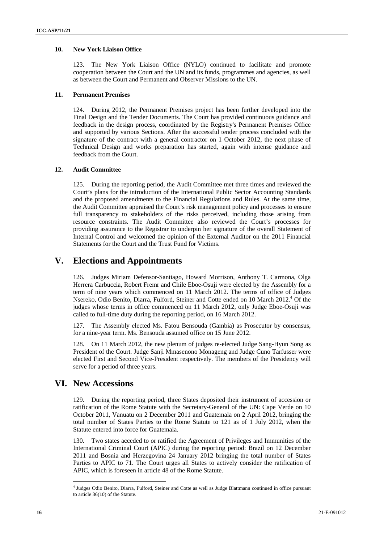## **10. New York Liaison Office**

123. The New York Liaison Office (NYLO) continued to facilitate and promote cooperation between the Court and the UN and its funds, programmes and agencies, as well as between the Court and Permanent and Observer Missions to the UN.

## **11. Permanent Premises**

124. During 2012, the Permanent Premises project has been further developed into the Final Design and the Tender Documents. The Court has provided continuous guidance and feedback in the design process, coordinated by the Registry's Permanent Premises Office and supported by various Sections. After the successful tender process concluded with the signature of the contract with a general contractor on 1 October 2012, the next phase of Technical Design and works preparation has started, again with intense guidance and feedback from the Court.

## **12. Audit Committee**

125. During the reporting period, the Audit Committee met three times and reviewed the Court's plans for the introduction of the International Public Sector Accounting Standards and the proposed amendments to the Financial Regulations and Rules. At the same time, the Audit Committee appraised the Court's risk management policy and processes to ensure full transparency to stakeholders of the risks perceived, including those arising from resource constraints. The Audit Committee also reviewed the Court's processes for providing assurance to the Registrar to underpin her signature of the overall Statement of Internal Control and welcomed the opinion of the External Auditor on the 2011 Financial Statements for the Court and the Trust Fund for Victims.

# **V. Elections and Appointments**

126. Judges Miriam Defensor-Santiago, Howard Morrison, Anthony T. Carmona, Olga Herrera Carbuccia, Robert Fremr and Chile Eboe-Osuji were elected by the Assembly for a term of nine years which commenced on 11 March 2012. The terms of office of Judges Nsereko, Odio Benito, Diarra, Fulford, Steiner and Cotte ended on 10 March 2012.<sup>4</sup> Of the judges whose terms in office commenced on 11 March 2012, only Judge Eboe-Osuji was called to full-time duty during the reporting period, on 16 March 2012.

127. The Assembly elected Ms. Fatou Bensouda (Gambia) as Prosecutor by consensus, for a nine-year term. Ms. Bensouda assumed office on 15 June 2012.

128. On 11 March 2012, the new plenum of judges re-elected Judge Sang-Hyun Song as President of the Court. Judge Sanji Mmasenono Monageng and Judge Cuno Tarfusser were elected First and Second Vice-President respectively. The members of the Presidency will serve for a period of three years.

# **VI. New Accessions**

129. During the reporting period, three States deposited their instrument of accession or ratification of the Rome Statute with the Secretary-General of the UN: Cape Verde on 10 October 2011, Vanuatu on 2 December 2011 and Guatemala on 2 April 2012, bringing the total number of States Parties to the Rome Statute to 121 as of 1 July 2012, when the Statute entered into force for Guatemala.

130. Two states acceded to or ratified the Agreement of Privileges and Immunities of the International Criminal Court (APIC) during the reporting period: Brazil on 12 December 2011 and Bosnia and Herzegovina 24 January 2012 bringing the total number of States Parties to APIC to 71. The Court urges all States to actively consider the ratification of APIC, which is foreseen in article 48 of the Rome Statute.

 4 Judges Odio Benito, Diarra, Fulford, Steiner and Cotte as well as Judge Blattmann continued in office pursuant to article 36(10) of the Statute.